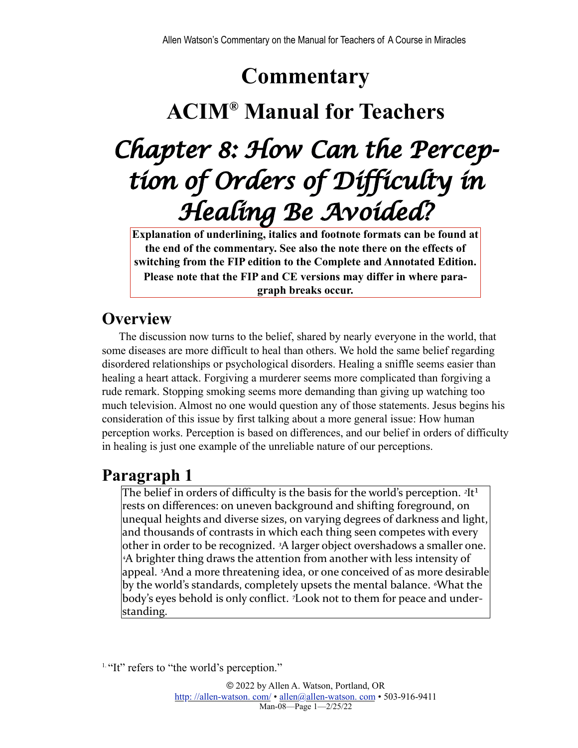# **Commentary**

## **ACIM® Manual for Teachers**

# *Chapter 8: How Can the Perception of Orders of Difficulty in Healing Be Avoided?*

**Explanation of underlining, italics and footnote formats can be found at the end of the commentary. See also the note there on the effects of switching from the FIP edition to the Complete and Annotated Edition. Please note that the FIP and CE versions may differ in where paragraph breaks occur.**

## **Overview**

The discussion now turns to the belief, shared by nearly everyone in the world, that some diseases are more difficult to heal than others. We hold the same belief regarding disordered relationships or psychological disorders. Healing a sniffle seems easier than healing a heart attack. Forgiving a murderer seems more complicated than forgiving a rude remark. Stopping smoking seems more demanding than giving up watching too much television. Almost no one would question any of those statements. Jesus begins his consideration of this issue by first talking about a more general issue: How human perception works. Perception is based on differences, and our belief in orders of difficulty in healing is just one example of the unreliable nature of our perceptions.

## <span id="page-0-1"></span>**Paragraph 1**

The belief in orders of difficulty is the basis for the world's perception.  $2It^1$ rests on differences: on uneven background and shifting foreground, on unequal heights and diverse sizes, on varying degrees of darkness and light, and thousands of contrasts in which each thing seen competes with every other in order to be recognized. <sup>3</sup>A larger object overshadows a smaller one. <sup>4</sup>A brighter thing draws the attention from another with less intensity of appeal. <sup>5</sup>And a more threatening idea, or one conceived of as more desirable by the world's standards, completely upsets the mental balance. *<sup><i>N*</sup>hat the</sup> body's eyes behold is only conflict. <sup>7</sup>Look not to them for peace and understanding.

<span id="page-0-0"></span><sup>&</sup>lt;sup>[1.](#page-0-1) "It"</sup> refers to "the world's perception."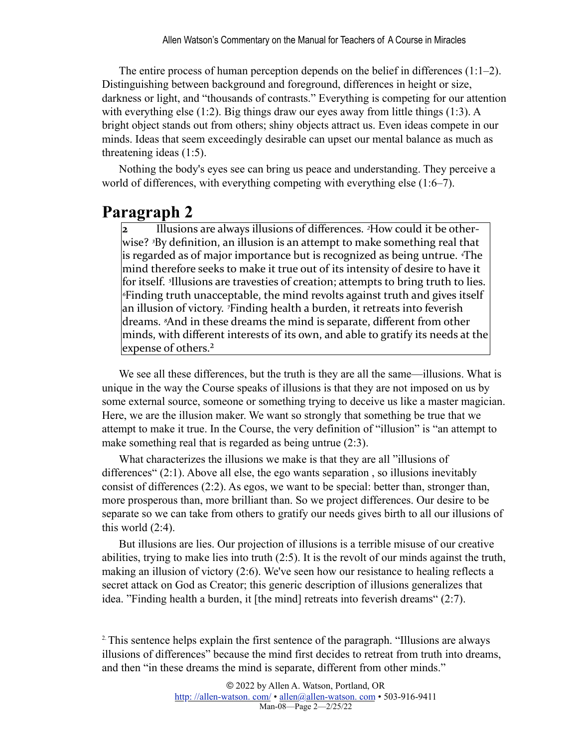The entire process of human perception depends on the belief in differences (1:1–2). Distinguishing between background and foreground, differences in height or size, darkness or light, and "thousands of contrasts." Everything is competing for our attention with everything else (1:2). Big things draw our eyes away from little things (1:3). A bright object stands out from others; shiny objects attract us. Even ideas compete in our minds. Ideas that seem exceedingly desirable can upset our mental balance as much as threatening ideas (1:5).

Nothing the body's eyes see can bring us peace and understanding. They perceive a world of differences, with everything competing with everything else (1:6–7).

## **Paragraph 2**

Illusions are always illusions of differences. <sup>2</sup>How could it be otherwise? <sup>3</sup>By definition, an illusion is an attempt to make something real that is regarded as of major importance but is recognized as being untrue. <sup>4</sup>The mind therefore seeks to make it true out of its intensity of desire to have it for itself. <sup>*s*</sup>Illusions are travesties of creation; attempts to bring truth to lies. *Finding truth unacceptable, the mind revolts against truth and gives itself* an illusion of victory. <sup>7</sup>Finding health a burden, it retreats into feverish dreams. <sup>*8*</sup>And in these dreams the mind is separate, different from other minds, with different interests of its own, and able to gratify its needs at the expense of others.<sup>2</sup>

<span id="page-1-1"></span>We see all these differences, but the truth is they are all the same—illusions. What is unique in the way the Course speaks of illusions is that they are not imposed on us by some external source, someone or something trying to deceive us like a master magician. Here, we are the illusion maker. We want so strongly that something be true that we attempt to make it true. In the Course, the very definition of "illusion" is "an attempt to make something real that is regarded as being untrue (2:3).

What characterizes the illusions we make is that they are all "illusions of differences" (2:1). Above all else, the ego wants separation , so illusions inevitably consist of differences (2:2). As egos, we want to be special: better than, stronger than, more prosperous than, more brilliant than. So we project differences. Our desire to be separate so we can take from others to gratify our needs gives birth to all our illusions of this world  $(2:4)$ .

But illusions are lies. Our projection of illusions is a terrible misuse of our creative abilities, trying to make lies into truth (2:5). It is the revolt of our minds against the truth, making an illusion of victory (2:6). We've seen how our resistance to healing reflects a secret attack on God as Creator; this generic description of illusions generalizes that idea. "Finding health a burden, it [the mind] retreats into feverish dreams" (2:7).

<span id="page-1-0"></span><sup>2</sup>. This sentence helps explain the first sentence of the paragraph. "Illusions are always illusions of differences" because the mind first decides to retreat from truth into dreams, and then "in these dreams the mind is separate, different from other minds."

> © 2022 by Allen A. Watson, Portland, OR http://allen-watson.com/ • allen@allen-watson.com • 503-916-9411 Man-08—Page 2—2/25/22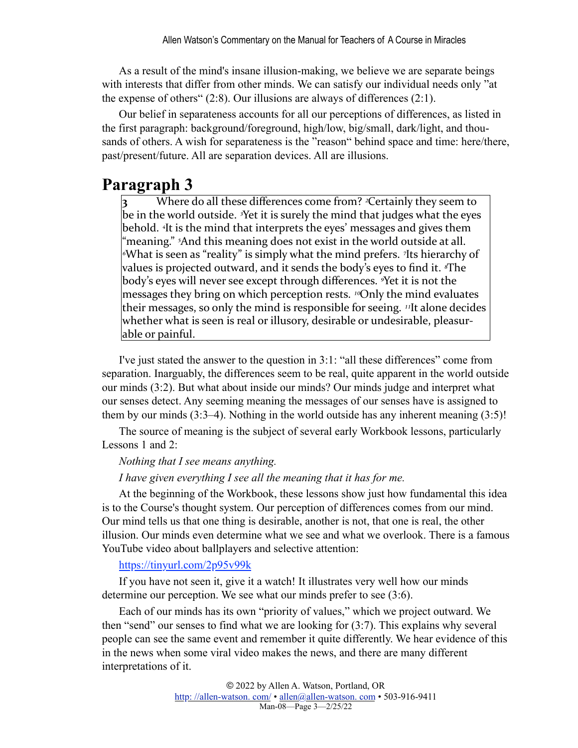As a result of the mind's insane illusion-making, we believe we are separate beings with interests that differ from other minds. We can satisfy our individual needs only "at the expense of others" (2:8). Our illusions are always of differences (2:1).

Our belief in separateness accounts for all our perceptions of differences, as listed in the first paragraph: background/foreground, high/low, big/small, dark/light, and thousands of others. A wish for separateness is the "reason" behind space and time: here/there, past/present/future. All are separation devices. All are illusions.

## **Paragraph 3**

Where do all these differences come from? <sup>2</sup>Certainly they seem to be in the world outside. <sup>3</sup>Yet it is surely the mind that judges what the eyes behold. <sup>4</sup>It is the mind that interprets the eyes' messages and gives them "meaning." <sup>5</sup>And this meaning does not exist in the world outside at all. <sup>*√*What is seen as "reality" is simply what the mind prefers. *7*Its hierarchy of</sup> values is projected outward, and it sends the body's eyes to find it. <sup>*s*The</sup> body's eyes will never see except through differences. <sup>*S*Yet</sup> it is not the messages they bring on which perception rests. <sup>10</sup>Only the mind evaluates their messages, so only the mind is responsible for seeing. <sup>11</sup>It alone decides whether what is seen is real or illusory, desirable or undesirable, pleasurable or painful.

I've just stated the answer to the question in 3:1: "all these differences" come from separation. Inarguably, the differences seem to be real, quite apparent in the world outside our minds (3:2). But what about inside our minds? Our minds judge and interpret what our senses detect. Any seeming meaning the messages of our senses have is assigned to them by our minds (3:3–4). Nothing in the world outside has any inherent meaning (3:5)!

The source of meaning is the subject of several early Workbook lessons, particularly Lessons 1 and 2:

#### *Nothing that I see means anything.*

#### *I have given everything I see all the meaning that it has for me.*

At the beginning of the Workbook, these lessons show just how fundamental this idea is to the Course's thought system. Our perception of differences comes from our mind. Our mind tells us that one thing is desirable, another is not, that one is real, the other illusion. Our minds even determine what we see and what we overlook. There is a famous YouTube video about ballplayers and selective attention:

#### <https://tinyurl.com/2p95v99k>

If you have not seen it, give it a watch! It illustrates very well how our minds determine our perception. We see what our minds prefer to see (3:6).

Each of our minds has its own "priority of values," which we project outward. We then "send" our senses to find what we are looking for (3:7). This explains why several people can see the same event and remember it quite differently. We hear evidence of this in the news when some viral video makes the news, and there are many different interpretations of it.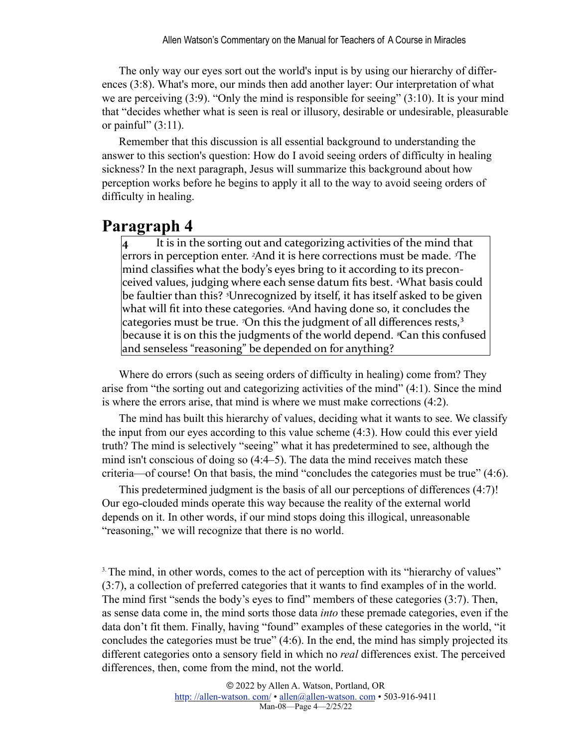The only way our eyes sort out the world's input is by using our hierarchy of differences (3:8). What's more, our minds then add another layer: Our interpretation of what we are perceiving (3:9). "Only the mind is responsible for seeing" (3:10). It is your mind that "decides whether what is seen is real or illusory, desirable or undesirable, pleasurable or painful"  $(3:11)$ .

Remember that this discussion is all essential background to understanding the answer to this section's question: How do I avoid seeing orders of difficulty in healing sickness? In the next paragraph, Jesus will summarize this background about how perception works before he begins to apply it all to the way to avoid seeing orders of difficulty in healing.

## **Paragraph 4**

**4** It is in the sorting out and categorizing activities of the mind that errors in perception enter. <sup>2</sup>And it is here corrections must be made. <sup>3</sup>The mind classifies what the body's eyes bring to it according to its preconceived values, judging where each sense datum fits best. <sup>4</sup>What basis could be faultier than this? <sup>*s*</sup>Unrecognized by itself, it has itself asked to be given what will fit into these categories. <sup>*«*And having done so, it concludes the</sup> categories must be true. <sup>7</sup>On this the judgment of all differences rests,<sup>3</sup> because it is on this the judgments of the world depend. *<sup>®</sup>Can* this confused and senseless "reasoning" be depended on for anything?

<span id="page-3-1"></span>Where do errors (such as seeing orders of difficulty in healing) come from? They arise from "the sorting out and categorizing activities of the mind" (4:1). Since the mind is where the errors arise, that mind is where we must make corrections (4:2).

The mind has built this hierarchy of values, deciding what it wants to see. We classify the input from our eyes according to this value scheme (4:3). How could this ever yield truth? The mind is selectively "seeing" what it has predetermined to see, although the mind isn't conscious of doing so (4:4–5). The data the mind receives match these criteria—of course! On that basis, the mind "concludes the categories must be true" (4:6).

This predetermined judgment is the basis of all our perceptions of differences (4:7)! Our ego-clouded minds operate this way because the reality of the external world depends on it. In other words, if our mind stops doing this illogical, unreasonable "reasoning," we will recognize that there is no world.

<span id="page-3-0"></span><sup>[3.](#page-3-1)</sup> The mind, in other words, comes to the act of perception with its "hierarchy of values" (3:7), a collection of preferred categories that it wants to find examples of in the world. The mind first "sends the body's eyes to find" members of these categories (3:7). Then, as sense data come in, the mind sorts those data *into* these premade categories, even if the data don't fit them. Finally, having "found" examples of these categories in the world, "it concludes the categories must be true" (4:6). In the end, the mind has simply projected its different categories onto a sensory field in which no *real* differences exist. The perceived differences, then, come from the mind, not the world.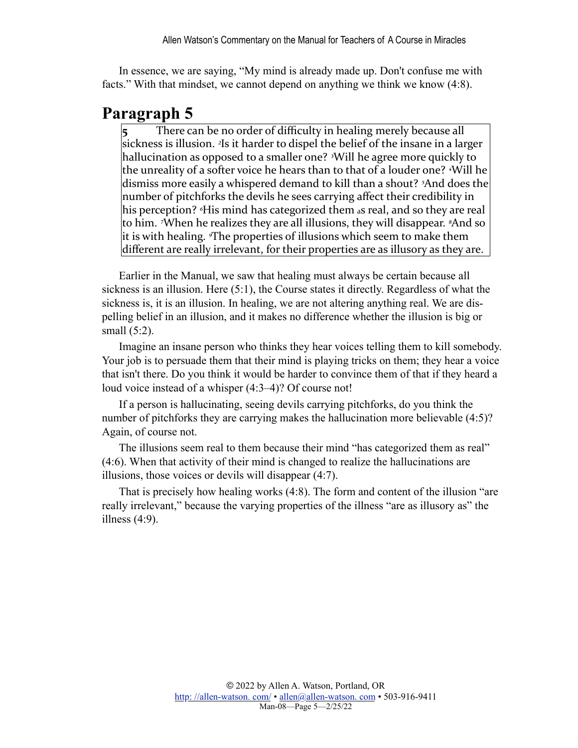In essence, we are saying, "My mind is already made up. Don't confuse me with facts." With that mindset, we cannot depend on anything we think we know (4:8).

### **Paragraph 5**

There can be no order of difficulty in healing merely because all sickness is illusion. <sup>2</sup>Is it harder to dispel the belief of the insane in a larger hallucination as opposed to a smaller one? <sup>3</sup>Will he agree more quickly to the unreality of a softer voice he hears than to that of a louder one? <sup>*A*</sup>Will he dismiss more easily a whispered demand to kill than a shout? <sup>5</sup>And does the number of pitchforks the devils he sees carrying affect their credibility in his perception? <sup>*«*His mind has categorized them as real, and so they are real</sup> to him. <sup>7</sup>When he realizes they are all illusions, they will disappear. <sup>8</sup>And so it is with healing. *The properties* of illusions which seem to make them different are really irrelevant, for their properties are as illusory as they are.

Earlier in the Manual, we saw that healing must always be certain because all sickness is an illusion. Here (5:1), the Course states it directly. Regardless of what the sickness is, it is an illusion. In healing, we are not altering anything real. We are dispelling belief in an illusion, and it makes no difference whether the illusion is big or small (5:2).

Imagine an insane person who thinks they hear voices telling them to kill somebody. Your job is to persuade them that their mind is playing tricks on them; they hear a voice that isn't there. Do you think it would be harder to convince them of that if they heard a loud voice instead of a whisper (4:3–4)? Of course not!

If a person is hallucinating, seeing devils carrying pitchforks, do you think the number of pitchforks they are carrying makes the hallucination more believable (4:5)? Again, of course not.

The illusions seem real to them because their mind "has categorized them as real" (4:6). When that activity of their mind is changed to realize the hallucinations are illusions, those voices or devils will disappear (4:7).

That is precisely how healing works (4:8). The form and content of the illusion "are really irrelevant," because the varying properties of the illness "are as illusory as" the illness (4:9).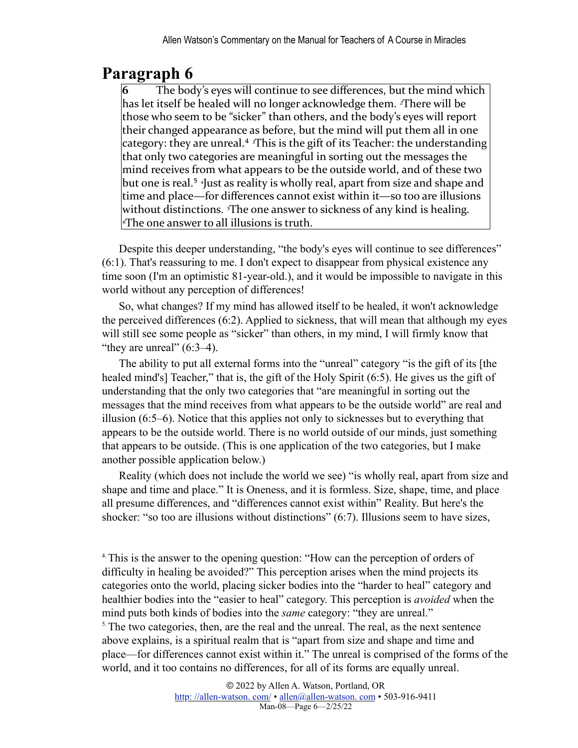## **Paragraph 6**

<span id="page-5-2"></span>**6** The body's eyes will continue to see differences, but the mind which has let itself be healed will no longer acknowledge them. <sup>2</sup>There will be those who seem to be "sicker" than others, and the body's eyes will report their changed appearance as before, but the mind will put them all in one category: they are unreal.<sup>4</sup> <sup>*3*This is the gift of its Teacher: the understanding</sup> that only two categories are meaningful in sorting out the messages the mind receives from what appears to be the outside world, and of these two but one is real.<sup>5</sup> <sup>4</sup>Just as reality is wholly real, apart from size and shape and time and place—for differences cannot exist within it—so too are illusions without distinctions. <sup>*s*The one answer to sickness of any kind is healing.</sup> *<u></u>*<sup>*s*</sup>The one answer to all illusions is truth.

<span id="page-5-3"></span>Despite this deeper understanding, "the body's eyes will continue to see differences" (6:1). That's reassuring to me. I don't expect to disappear from physical existence any time soon (I'm an optimistic 81-year-old.), and it would be impossible to navigate in this world without any perception of differences!

So, what changes? If my mind has allowed itself to be healed, it won't acknowledge the perceived differences (6:2). Applied to sickness, that will mean that although my eyes will still see some people as "sicker" than others, in my mind, I will firmly know that "they are unreal"  $(6:3-4)$ .

The ability to put all external forms into the "unreal" category "is the gift of its [the healed mind's] Teacher," that is, the gift of the Holy Spirit (6:5). He gives us the gift of understanding that the only two categories that "are meaningful in sorting out the messages that the mind receives from what appears to be the outside world" are real and illusion (6:5–6). Notice that this applies not only to sicknesses but to everything that appears to be the outside world. There is no world outside of our minds, just something that appears to be outside. (This is one application of the two categories, but I make another possible application below.)

Reality (which does not include the world we see) "is wholly real, apart from size and shape and time and place." It is Oneness, and it is formless. Size, shape, time, and place all presume differences, and "differences cannot exist within" Reality. But here's the shocker: "so too are illusions without distinctions" (6:7). Illusions seem to have sizes,

<span id="page-5-0"></span><sup>4</sup>. This is the answer to the opening question: "How can the perception of orders of difficulty in healing be avoided?" This perception arises when the mind projects its categories onto the world, placing sicker bodies into the "harder to heal" category and healthier bodies into the "easier to heal" category. This perception is *avoided* when the mind puts both kinds of bodies into the *same* category: "they are unreal."

<span id="page-5-1"></span><sup>[5.](#page-5-3)</sup> The two categories, then, are the real and the unreal. The real, as the next sentence above explains, is a spiritual realm that is "apart from size and shape and time and place—for differences cannot exist within it." The unreal is comprised of the forms of the world, and it too contains no differences, for all of its forms are equally unreal.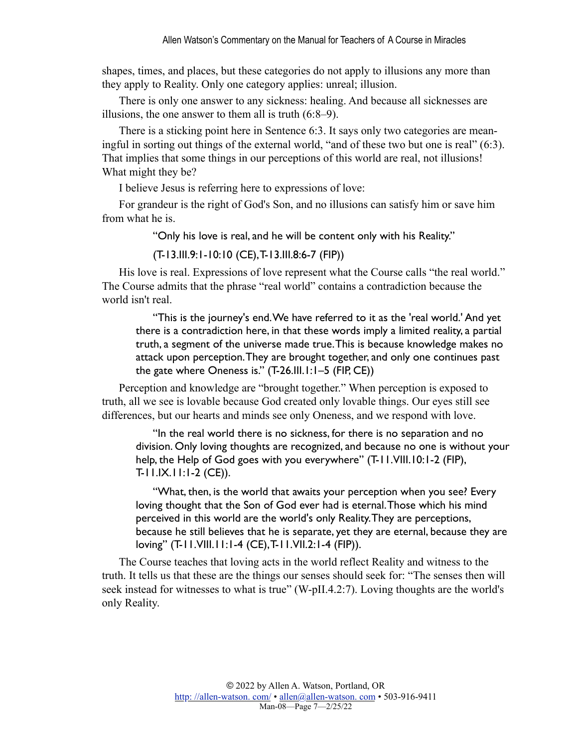shapes, times, and places, but these categories do not apply to illusions any more than they apply to Reality. Only one category applies: unreal; illusion.

There is only one answer to any sickness: healing. And because all sicknesses are illusions, the one answer to them all is truth (6:8–9).

There is a sticking point here in Sentence 6:3. It says only two categories are meaningful in sorting out things of the external world, "and of these two but one is real" (6:3). That implies that some things in our perceptions of this world are real, not illusions! What might they be?

I believe Jesus is referring here to expressions of love:

For grandeur is the right of God's Son, and no illusions can satisfy him or save him from what he is.

"Only his love is real, and he will be content only with his Reality."

(T-13.III.9:1-10:10 (CE), T-13.III.8:6-7 (FIP))

His love is real. Expressions of love represent what the Course calls "the real world." The Course admits that the phrase "real world" contains a contradiction because the world isn't real.

"This is the journey's end. We have referred to it as the 'real world.' And yet there is a contradiction here, in that these words imply a limited reality, a partial truth, a segment of the universe made true. This is because knowledge makes no attack upon perception. They are brought together, and only one continues past the gate where Oneness is." (T-26.III.1:1–5 (FIP, CE))

Perception and knowledge are "brought together." When perception is exposed to truth, all we see is lovable because God created only lovable things. Our eyes still see differences, but our hearts and minds see only Oneness, and we respond with love.

"In the real world there is no sickness, for there is no separation and no division. Only loving thoughts are recognized, and because no one is without your help, the Help of God goes with you everywhere" (T-11.VIII.10:1-2 (FIP), T-11.IX.11:1-2 (CE)).

"What, then, is the world that awaits your perception when you see? Every loving thought that the Son of God ever had is eternal. Those which his mind perceived in this world are the world's only Reality. They are perceptions, because he still believes that he is separate, yet they are eternal, because they are loving" (T-11.VIII.11:1-4 (CE), T-11.VII.2:1-4 (FIP)).

The Course teaches that loving acts in the world reflect Reality and witness to the truth. It tells us that these are the things our senses should seek for: "The senses then will seek instead for witnesses to what is true" (W-pII.4.2:7). Loving thoughts are the world's only Reality.